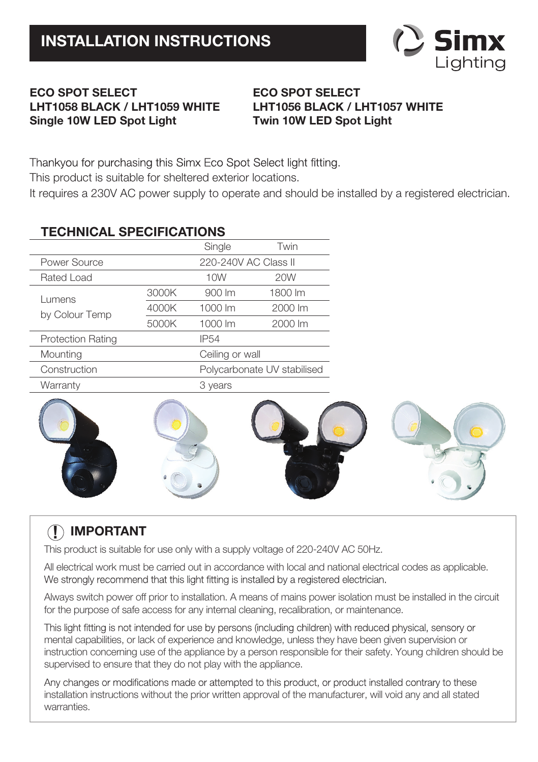

### **ECO SPOT SELECT LHT1058 BLACK / LHT1059 WHITE Single 10W LED Spot Light**

## **ECO SPOT SELECT LHT1056 BLACK / LHT1057 WHITE Twin 10W LED Spot Light**

Thankvou for purchasing this Simx Eco Spot Select light fitting.

This product is suitable for sheltered exterior locations.

It requires a 230V AC power supply to operate and should be installed by a registered electrician.

# **TECHNICAL SPECIFICATIONS**

|                          |                             | Single      | Twin    |  |
|--------------------------|-----------------------------|-------------|---------|--|
| Power Source             | 220-240V AC Class II        |             |         |  |
| Rated Load               |                             | 10W         | 20W     |  |
| Lumens<br>by Colour Temp | 3000K                       | 900 lm      | 1800 lm |  |
|                          | 4000K                       | 1000 lm     | 2000 lm |  |
|                          | 5000K                       | 1000 lm     | 2000 lm |  |
| <b>Protection Rating</b> |                             | <b>IP54</b> |         |  |
| Mounting                 | Ceiling or wall             |             |         |  |
| Construction             | Polycarbonate UV stabilised |             |         |  |
| Warranty                 |                             |             | 3 years |  |



# **! IMPORTANT**

This product is suitable for use only with a supply voltage of 220-240V AC 50Hz.

All electrical work must be carried out in accordance with local and national electrical codes as applicable. We strongly recommend that this light fitting is installed by a registered electrician.

Always switch power off prior to installation. A means of mains power isolation must be installed in the circuit for the purpose of safe access for any internal cleaning, recalibration, or maintenance.

This light fitting is not intended for use by persons (including children) with reduced physical, sensory or mental capabilities, or lack of experience and knowledge, unless they have been given supervision or instruction concerning use of the appliance by a person responsible for their safety. Young children should be supervised to ensure that they do not play with the appliance.

Any changes or modifications made or attempted to this product, or product installed contrary to these installation instructions without the prior written approval of the manufacturer, will void any and all stated warranties.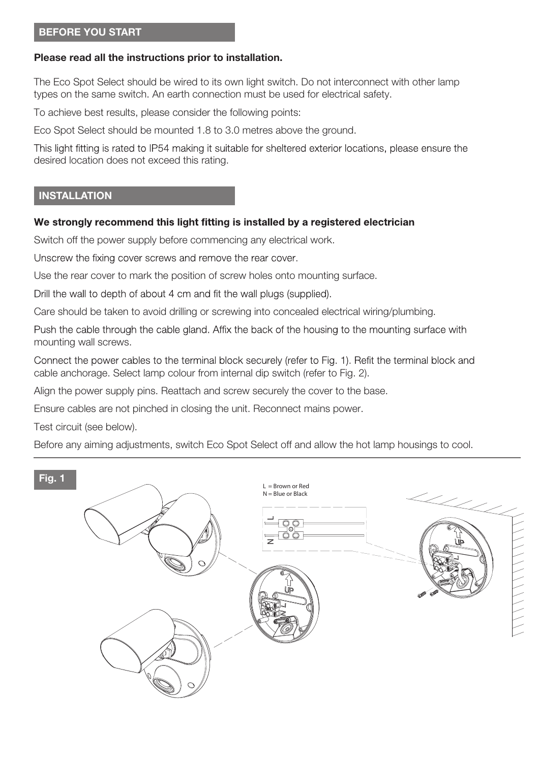#### **BEFORE YOU START**

#### **Please read all the instructions prior to installation.**

The Eco Spot Select should be wired to its own light switch. Do not interconnect with other lamp types on the same switch. An earth connection must be used for electrical safety.

To achieve best results, please consider the following points:

Eco Spot Select should be mounted 1.8 to 3.0 metres above the ground.

This light fitting is rated to IP54 making it suitable for sheltered exterior locations, please ensure the desired location does not exceed this rating.

#### **INSTALLATION**

#### We strongly recommend this light fitting is installed by a registered electrician

Switch off the power supply before commencing any electrical work.

Unscrew the fixing cover screws and remove the rear cover.

Use the rear cover to mark the position of screw holes onto mounting surface.

Drill the wall to depth of about 4 cm and fit the wall plugs (supplied).

Care should be taken to avoid drilling or screwing into concealed electrical wiring/plumbing.

Push the cable through the cable gland. Affix the back of the housing to the mounting surface with mounting wall screws.

Connect the power cables to the terminal block securely (refer to Fig. 1). Refit the terminal block and cable anchorage. Select lamp colour from internal dip switch (refer to Fig. 2).

Align the power supply pins. Reattach and screw securely the cover to the base.

Ensure cables are not pinched in closing the unit. Reconnect mains power.

Test circuit (see below).

Before any aiming adjustments, switch Eco Spot Select off and allow the hot lamp housings to cool.

#### **Fig. 1**

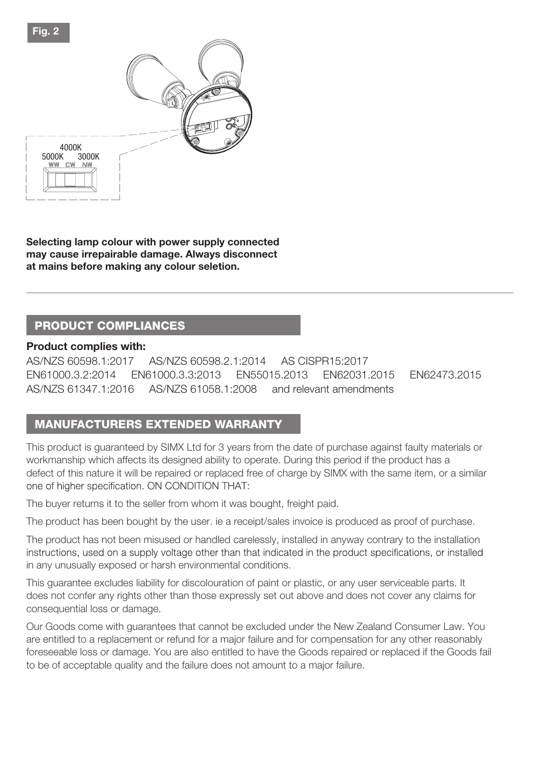

**Selecting lamp colour with power supply connected may cause irrepairable damage. Always disconnect at mains before making any colour seletion.**

# **PRODUCT COMPLIANCES**

#### **Product complies with:**

AS/NZS 60598.1:2017 AS/NZS 60598.2.1:2014 AS CISPR15:2017 EN61000.3.2:2014 EN61000.3.3:2013 EN55015.2013 EN62031.2015 EN62473.2015 AS/NZS 61347.1:2016 AS/NZS 61058.1:2008 and relevant amendments

# **MANUFACTURERS EXTENDED WARRANTY**

This product is guaranteed by SIMX Ltd for 3 years from the date of purchase against faulty materials or workmanship which affects its designed ability to operate. During this period if the product has a defect of this nature it will be repaired or replaced free of charge by SIMX with the same item, or a similar one of higher specification. ON CONDITION THAT:

The buyer returns it to the seller from whom it was bought, freight paid.

The product has been bought by the user. ie a receipt/sales invoice is produced as proof of purchase.

The product has not been misused or handled carelessly, installed in anyway contrary to the installation instructions, used on a supply voltage other than that indicated in the product specifications, or installed in any unusually exposed or harsh environmental conditions.

This guarantee excludes liability for discolouration of paint or plastic, or any user serviceable parts. It does not confer any rights other than those expressly set out above and does not cover any claims for consequential loss or damage.

Our Goods come with guarantees that cannot be excluded under the New Zealand Consumer Law. You are entitled to a replacement or refund for a major failure and for compensation for any other reasonably foreseeable loss or damage. You are also entitled to have the Goods repaired or replaced if the Goods fail to be of acceptable quality and the failure does not amount to a major failure.